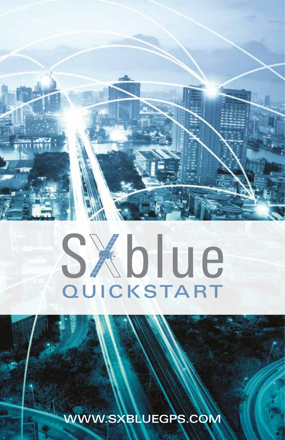

# SXblue **QUICKSTART**

WWW.SXBLUEGPS.COM

1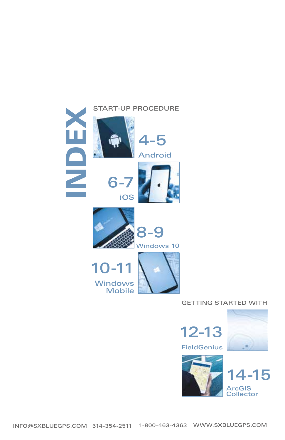















### GETTING STARTED WITH







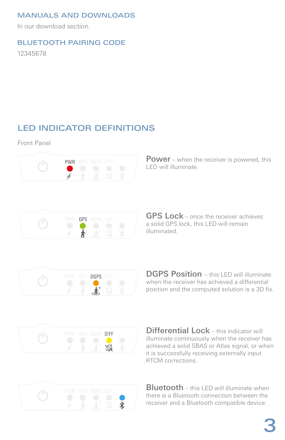### MANUALS AND DOWNLOADS

In our download section.

### BLUETOOTH PAIRING CODE

12345678

### LED INDICATOR DEFINITIONS

Front Panel



**Power** – when the receiver is powered, this LED will illuminate.



**GPS Lock** – once the receiver achieves a solid GPS lock, this LED will remain illuminated.



**DGPS Position** – this LED will illuminate when the receiver has achieved a differential position and the computed solution is a 3D fix.



Differential Lock - this indicator will illuminate continuously when the receiver has achieved a solid SBAS or Atlas signal, or when it is successfully receiving externally input RTCM corrections.



**Bluetooth** – this LED will illuminate when there is a Bluetooth connection between the receiver and a Bluetooth compatible device.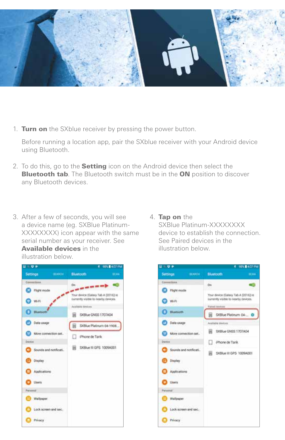

1. Turn on the SXblue receiver by pressing the power button.

Before running a location app, pair the SXblue receiver with your Android device using Bluetooth.

- 2. To do this, go to the **Setting** icon on the Android device then select the **Bluetooth tab.** The Bluetooth switch must be in the ON position to discover any Bluetooth devices.
- 3. After a few of seconds, you will see a device name (eg. SXBlue Platinum-XXXXXXXX) icon appear with the same serial number as your receiver. See Available devices in the illustration below.



### 4. Tap on the

SXBlue Platinum-XXXXXXXX device to establish the connection. See Paired devices in the illustration below.

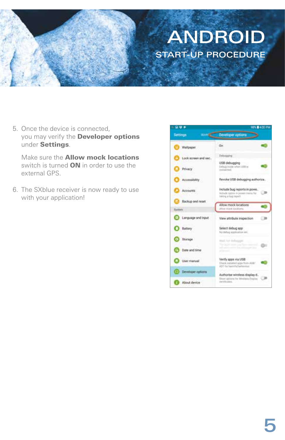### ANDROID START-UP PROCEDURE

5. Once the device is connected, you may verify the **Developer options** under Settings.

Make sure the Allow mock locations switch is turned **ON** in order to use the external GPS.

6. The SXblue receiver is now ready to use with your application!

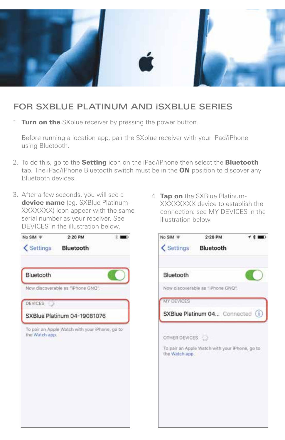

### FOR SXBLUE PLATINUM AND iSXBLUE SERIES

1. Turn on the SXblue receiver by pressing the power button.

Before running a location app, pair the SXblue receiver with your iPad/iPhone using Bluetooth.

- 2. To do this, go to the **Setting** icon on the iPad/iPhone then select the **Bluetooth** tab. The iPad/iPhone Bluetooth switch must be in the **ON** position to discover any Bluetooth devices.
- 3. After a few seconds, you will see a device name (eg. SXBlue Platinum-XXXXXXX) icon appear with the same serial number as your receiver. See DEVICES in the illustration below.



4. Tap on the SXBlue Platinum-XXXXXXXX device to establish the connection: see MY DEVICES in the illustration below.

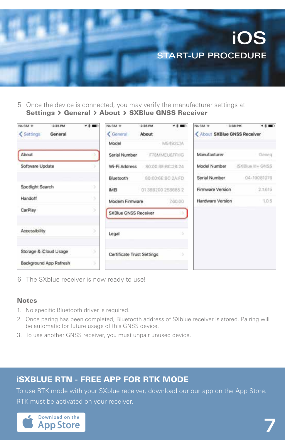

5. Once the device is connected, you may verify the manufacturer settings at Settings > General > About > SXBlue GNSS Receiver

| No SIM W<br>2:35 PM<br>Settings<br>General | $7.2$ mm) | No SIM W<br>< General       | 2:36 PM<br>About  | <b>T 2 MIL-</b>   | No SIM W<br>< About SXBlue GNSS Receiver | $7.2$ mm $^{-1}$<br>3:38 PM |
|--------------------------------------------|-----------|-----------------------------|-------------------|-------------------|------------------------------------------|-----------------------------|
|                                            |           | Model                       |                   | ME493C/A          |                                          |                             |
| About                                      |           | Serial Number               |                   | F78MMEU8FFHG      | Manufacturer                             | Geneg                       |
| Software Update                            |           | Wi-Fi Address               | 80:00:6E:BC:2B:24 |                   | Model Number                             | ISXBlue III+ GNSS           |
|                                            |           | Bluetooth                   |                   | B0:00:6E:BC:2A:FD | Serial Number                            | 04-19081076                 |
| Spotlight Search                           | Þ         | <b>IMEI</b>                 |                   | 013892002586852   | Firmware Version                         | 21.615                      |
| Handoff                                    | ă         | Modem Firmware              |                   | 7.60.00           | Hardware Version                         | 1.0.5                       |
| CarPlay                                    | x         | <b>SXBlue GNSS Receiver</b> |                   |                   |                                          |                             |
| Accessibility                              |           | Legal                       |                   |                   |                                          |                             |
| Storage & iCloud Usage                     | s         | Certificate Trust Settings  |                   | x                 |                                          |                             |
| Background App Refresh                     | s         |                             |                   |                   |                                          |                             |

6. The SXblue receiver is now ready to use!

### **Notes**

- 1. No specific Bluetooth driver is required.
- 2. Once paring has been completed, Bluetooth address of SXblue receiver is stored. Pairing will be automatic for future usage of this GNSS device.
- 3. To use another GNSS receiver, you must unpair unused device.

### iSXBLUE RTN - FREE APP FOR RTK MODE

To use RTK mode with your SXblue receiver, download our our app on the App Store. **RTK must be activated on your receiver.** 

7

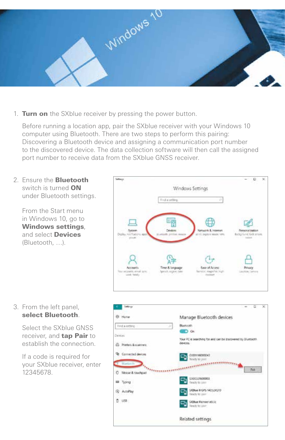

1. Turn on the SXblue receiver by pressing the power button.

Before running a location app, pair the SXblue receiver with your Windows 10 computer using Bluetooth. There are two steps to perform this pairing: Discovering a Bluetooth device and assigning a communication port number to the discovered device. The data collection software will then call the assigned port number to receive data from the SXblue GNSS receiver.

2. Ensure the **Bluetooth** switch is turned ON under Bluetooth settings.

> From the Start menu in Windows 10, go to Windows settings, and select **Devices** (Bluetooth, …).



3. From the left panel, select Bluetooth.

> Select the SXblue GNSS receiver, and **tap Pair** to establish the connection.

If a code is required for your SXblue receiver, enter 12345678.

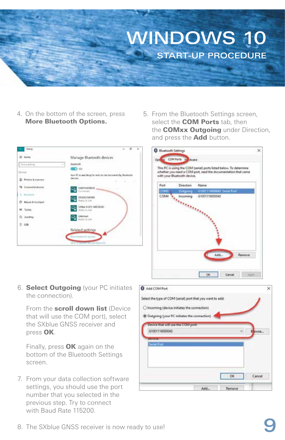

4. On the bottom of the screen, press More Bluetooth Options.



5. From the Bluetooth Settings screen, select the **COM Ports** tab, then the **COMxx Outgoing** under Direction, and press the **Add** button.



6. **Select Outgoing** (your PC initiates the connection).

From the scroll down list (Device that will use the COM port), select the SXblue GNSS receiver and press OK.

Finally, press OK again on the bottom of the Bluetooth Settings screen.

7. From your data collection software settings, you should use the port number that you selected in the previous step. Try to connect with Baud Rate 115200.

| Select the type of COM (serial) port that you want to add: |           |        |
|------------------------------------------------------------|-----------|--------|
| O Incoming (device initiates the connection)               |           |        |
| Outgoing (your PC initiates the connection)                |           |        |
| Device that will use the COM port:                         |           |        |
| G1001116000043                                             | $\sim$    | Elewse |
| <b><i>UNIVERSITY</i></b>                                   |           |        |
| Senal Ford                                                 |           |        |
|                                                            |           |        |
|                                                            |           |        |
|                                                            |           |        |
|                                                            |           |        |
|                                                            | <b>OK</b> | Cancel |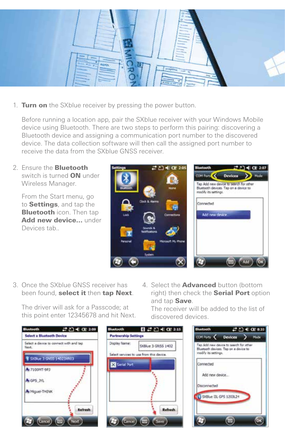

1. Turn on the SXblue receiver by pressing the power button.

Before running a location app, pair the SXblue receiver with your Windows Mobile device using Bluetooth. There are two steps to perform this pairing: discovering a Bluetooth device and assigning a communication port number to the discovered device. The data collection software will then call the assigned port number to receive the data from the SXblue GNSS receiver.

2. Ensure the Bluetooth switch is turned ON under Wireless Manager.

From the Start menu, go to **Settings**, and tap the **Bluetooth** icon. Then tap Add new device... under Devices tab..



3. Once the SXblue GNSS receiver has been found, select it then tap Next.

The driver will ask for a Passcode; at this point enter 12345678 and hit Next. 4. Select the **Advanced** button (bottom right) then check the **Serial Port** option and tap Save.

The receiver will be added to the list of discovered devices.





| <b>Shuetooth</b>                                                                                        |  | #凸€@833 |
|---------------------------------------------------------------------------------------------------------|--|---------|
| <b>COM Ports C</b> Devices                                                                              |  | Mode    |
| Tap Add new device to search for ather<br>Bluetsoth devices. Tap on a device to<br>roodly its settings. |  |         |
| Connected                                                                                               |  |         |
| Add new device.<br>ma thata                                                                             |  |         |
| Disconnected                                                                                            |  |         |
| 13 SXBlue III, GPS 1203L24                                                                              |  |         |
|                                                                                                         |  |         |
|                                                                                                         |  |         |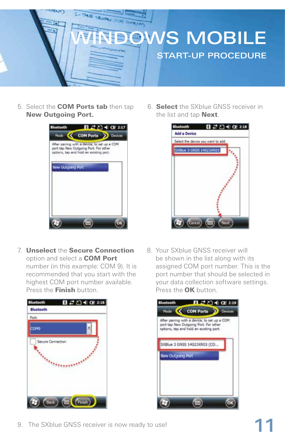

5. Select the COM Ports tab then tap New Outgoing Port.



7. Unselect the Secure Connection option and select a COM Port number (in this example: COM 9). It is recommended that you start with the highest COM port number available. Press the Finish button.



6. Select the SXblue GNSS receiver in the list and tap **Next**.



8. Your SXblue GNSS receiver will be shown in the list along with its assigned COM port number. This is the port number that should be selected in your data collection software settings. Press the OK button.



9. The SXblue GNSS receiver is now ready to use!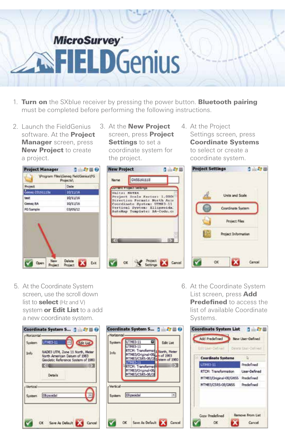## **MicroSurvey FIELD**Genius

- 1. Turn on the SXblue receiver by pressing the power button. Bluetooth pairing must be completed before performing the following instructions.
- 2. Launch the FieldGenius software. At the **Project Manager** screen, press **New Project to create** a project.



- **Project Manager**  $1 - 500$ Program Files\Geneg FieldGenius\FG Projects). Date 10/11/10 test 8111104 Genea BA **BELIEVE PG Sample** 03/06/12 New Delete Com  $\mathbf x$ Exit Project Project
- **New Project** 日上印图 CHESTATION Marin ant Proposition (Sections) Uniter METER Project Doale Factor: 1.0006 Pirection Format: North Azir<br>Coordinate System: UTM03-11<br>Vertical System: Ellipsoida<br>AutoMap Template: BA-Code.c: Project<br>Settings **District** Cancel OK
- 4. At the Project Settings screen, press Coordinate Systems to select or create a coordinate system.



5. At the Coordinate System screen, use the scroll down list to **select** (Hz and V) system or Edit List to a add a new coordinate system.

|            | Coordinate System S 1                                                                                |
|------------|------------------------------------------------------------------------------------------------------|
| Honzontal- |                                                                                                      |
| System.    | UTN83-11<br><b>Bait Ust</b>                                                                          |
| Info       | NADB3 UTM, Zone 11 North, Meter<br>North American Datum of 1983<br>Geodetic Reference System of 1980 |
|            | RТ                                                                                                   |
|            | Details                                                                                              |
| Vertical-  |                                                                                                      |
| System     | <b>Ell</b> psoidal                                                                                   |
|            |                                                                                                      |
|            |                                                                                                      |
|            |                                                                                                      |
|            | OK Save As Default<br>incel                                                                          |
|            |                                                                                                      |

| Horizontal    |                                                                                                             |
|---------------|-------------------------------------------------------------------------------------------------------------|
| <b>System</b> | UTM83-11<br><b>Edit List</b>                                                                                |
| Info          | JTM83-11<br>RTCM: Transformat 1 North, Meter<br>MTH83/Original-08  of 1983<br>MTM83/CSRS-08/Glistem of 1960 |
|               | <b>JTMR1-11</b><br>RTCM: Transforma                                                                         |
|               | MTM83/Original-08<br>MTM83/CSRS-08/G                                                                        |
|               |                                                                                                             |
| Vertical      |                                                                                                             |
|               |                                                                                                             |
|               | System Ellipsoidal                                                                                          |
|               |                                                                                                             |
|               |                                                                                                             |

6. At the Coordinate System List screen, press Add **Predefined** to access the list of available Coordinate Systems.

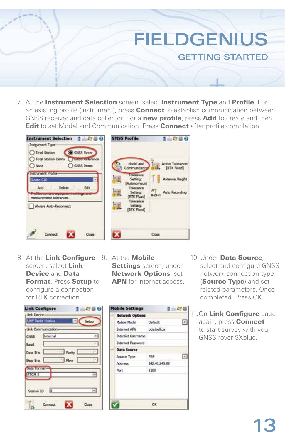

15550

1 内出

同

同

FIELDGENIUS

GETTING STARTED



- Model and Active Tolerance: Communication **IRTK Fixed]** Tolerance Setting: Antenna Height [Autonomous] Tolerance Auto Recording Setting: [RTK Float] Tolerance Setting: (RTK Fixed) Close
- 8. At the Link Configure 9. At the Mobile screen, select Link Device and Data **Format. Press Setup to** configure a connection for RTK correction.

| <b>Link Configure</b>         | 1700       |
|-------------------------------|------------|
| -Link Device-                 |            |
| LIHF Radio Module             | Sebuo      |
| -Link Communication-          |            |
| Internal<br>GNSS <sup>.</sup> |            |
| Baud                          |            |
| Data Bits                     | Parity L   |
| Stop Bits                     | <b>How</b> |
| <b>Data Format-</b>           |            |
| RTCM 3                        | ×          |
|                               |            |
| ю<br>Station ID               | ۰ı         |
|                               |            |
| Connect<br>es.                | Close      |

Settings screen, under Network Options, set APN for internet access.

Default

**P2P** 

OK

142.41.245.88 2106

oda bell ca

**Mobile Settings** 

Mobile Model

**Internet APN** 

Address

Port

**Network Options** 

**Internet Ligername Internet Password Data Source** Source Type



11. On Link Configure page again, press **Connect** to start survey with your GNSS rover SXblue.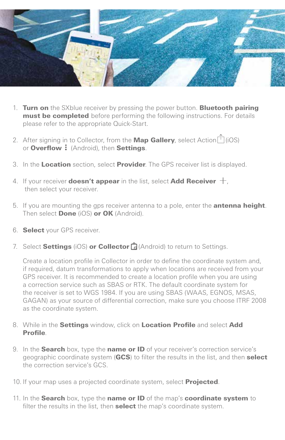

- 1. Turn on the SXblue receiver by pressing the power button. Bluetooth pairing must be completed before performing the following instructions. For details please refer to the appropriate Quick-Start.
- 2. After signing in to Collector, from the **Map Gallery**, select Action $\vec{I}$  (iOS) or **Overflow :** (Android), then Settings.
- 3. In the Location section, select Provider. The GPS receiver list is displayed.
- 4. If your receiver **doesn't appear** in the list, select **Add Receiver**  $+$ , then select your receiver.
- 5. If you are mounting the gps receiver antenna to a pole, enter the **antenna height**. Then select **Done** (iOS) or OK (Android).
- 6. Select your GPS receiver.
- 7. Select **Settings** (iOS) or **Collector**  $\hat{H}$  (Android) to return to Settings.

Create a location profile in Collector in order to define the coordinate system and, if required, datum transformations to apply when locations are received from your GPS receiver. It is recommended to create a location profile when you are using a correction service such as SBAS or RTK. The default coordinate system for the receiver is set to WGS 1984. If you are using SBAS (WAAS, EGNOS, MSAS, GAGAN) as your source of differential correction, make sure you choose ITRF 2008 as the coordinate system.

- 8. While in the **Settings** window, click on **Location Profile** and select **Add** Profile.
- 9. In the **Search** box, type the **name or ID** of your receiver's correction service's geographic coordinate system (GCS) to filter the results in the list, and then select the correction service's GCS.
- 10. If your map uses a projected coordinate system, select **Projected**.
- 11. In the Search box, type the name or ID of the map's coordinate system to filter the results in the list, then **select** the map's coordinate system.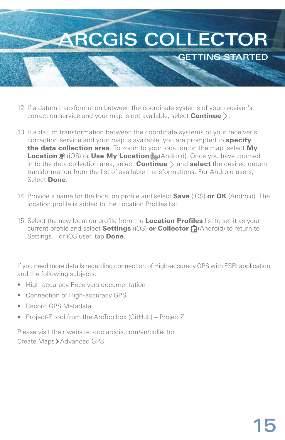

- 12. If a datum transformation between the coordinate systems of your receiver's correction service and your map is not available, select **Continue**  $\angle$ .
- 13. If a datum transformation between the coordinate systems of your receiver's correction service and your map is available, you are prompted to **specify** the data collection area. To zoom to your location on the map, select My Location (iOS) or Use My Location (Android). Once you have zoomed in to the data collection area, select **Continue**  $\rangle$  and **select** the desired datum transformation from the list of available transformations. For Android users, Select Done.
- 14. Provide a name for the location profile and select **Save** (iOS) or OK (Android). The location profile is added to the Location Profiles list.
- 15. Select the new location profile from the Location Profiles list to set it as your current profile and select **Settings** (iOS) **or Collector**  $\hat{H}$  (Android) to return to Settings. For iOS user, tap Done.

If you need more details regarding connection of High-accuracy GPS with ESRI application, and the following subjects:

- High-accuracy Receivers documentation
- Connection of High-accuracy GPS
- Record GPS Metadata
- Project-Z tool from the ArcToolbox (GitHub) ProjectZ

Please visit their website: doc.arcgis.com/en/collector Create Maps > Advanced GPS